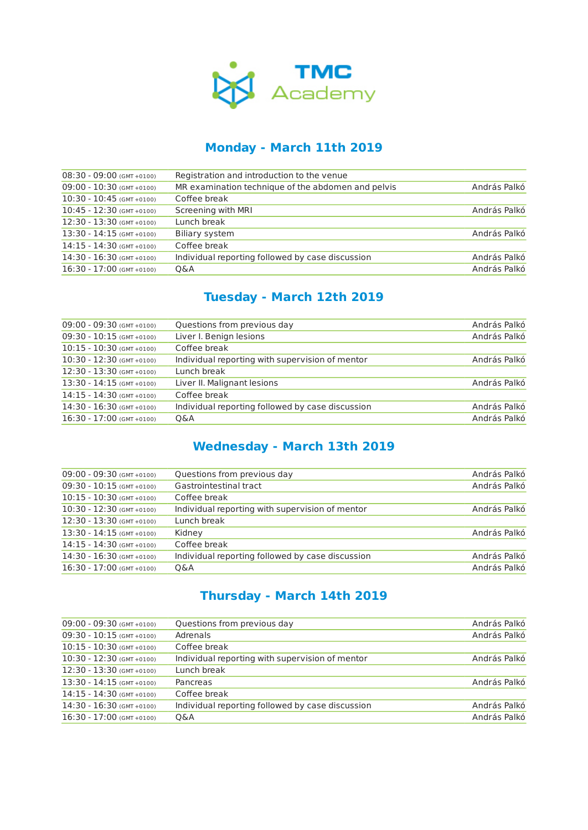

### **Monday - March 11th 2019**

| $08:30 - 09:00$ (GMT +0100) | Registration and introduction to the venue         |              |
|-----------------------------|----------------------------------------------------|--------------|
| $09:00 - 10:30$ (GMT +0100) | MR examination technique of the abdomen and pelvis | András Palkó |
| $10:30 - 10:45$ (GMT +0100) | Coffee break                                       |              |
| $10:45 - 12:30$ (GMT +0100) | Screening with MRI                                 | András Palkó |
| $12:30 - 13:30$ (GMT +0100) | Lunch break                                        |              |
| $13:30 - 14:15$ (GMT +0100) | <b>Biliary system</b>                              | András Palkó |
| $14:15 - 14:30$ (GMT +0100) | Coffee break                                       |              |
| $14:30 - 16:30$ (GMT +0100) | Individual reporting followed by case discussion   | András Palkó |
| $16:30 - 17:00$ (GMT +0100) | Q&A                                                | András Palkó |
|                             |                                                    |              |

# **Tuesday - March 12th 2019**

| $09:00 - 09:30$ (GMT +0100) | Questions from previous day                      | András Palkó |
|-----------------------------|--------------------------------------------------|--------------|
| $09:30 - 10:15$ (GMT +0100) | Liver I. Benign lesions                          | András Palkó |
| $10:15 - 10:30$ (GMT +0100) | Coffee break                                     |              |
| $10:30 - 12:30$ (GMT +0100) | Individual reporting with supervision of mentor  | András Palkó |
| $12:30 - 13:30$ (GMT +0100) | Lunch break                                      |              |
| $13:30 - 14:15$ (GMT +0100) | Liver II. Malignant lesions                      | András Palkó |
| $14:15 - 14:30$ (GMT +0100) | Coffee break                                     |              |
| $14:30 - 16:30$ (GMT +0100) | Individual reporting followed by case discussion | András Palkó |
| $16:30 - 17:00$ (GMT +0100) | 0&A                                              | András Palkó |

### **Wednesday - March 13th 2019**

| $09:00 - 09:30$ (GMT +0100) | Questions from previous day                      | András Palkó |
|-----------------------------|--------------------------------------------------|--------------|
| $09:30 - 10:15$ (GMT +0100) | Gastrointestinal tract                           | András Palkó |
| $10:15 - 10:30$ (GMT +0100) | Coffee break                                     |              |
| $10:30 - 12:30$ (GMT +0100) | Individual reporting with supervision of mentor  | András Palkó |
| $12:30 - 13:30$ (GMT +0100) | Lunch break                                      |              |
| $13:30 - 14:15$ (GMT +0100) | Kidney                                           | András Palkó |
| $14:15 - 14:30$ (GMT +0100) | Coffee break                                     |              |
| $14:30 - 16:30$ (GMT +0100) | Individual reporting followed by case discussion | András Palkó |
| $16:30 - 17:00$ (GMT +0100) | 0&A                                              | András Palkó |
|                             |                                                  |              |

# **Thursday - March 14th 2019**

| $09:00 - 09:30$ (GMT +0100) | Questions from previous day                      | András Palkó |
|-----------------------------|--------------------------------------------------|--------------|
| $09:30 - 10:15$ (GMT +0100) | Adrenals                                         | András Palkó |
| $10:15 - 10:30$ (GMT +0100) | Coffee break                                     |              |
| $10:30 - 12:30$ (GMT +0100) | Individual reporting with supervision of mentor  | András Palkó |
| $12:30 - 13:30$ (GMT +0100) | Lunch break                                      |              |
| $13:30 - 14:15$ (GMT +0100) | Pancreas                                         | András Palkó |
| $14:15 - 14:30$ (GMT +0100) | Coffee break                                     |              |
| $14:30 - 16:30$ (GMT +0100) | Individual reporting followed by case discussion | András Palkó |
| $16:30 - 17:00$ (GMT +0100) | 0&A                                              | András Palkó |
|                             |                                                  |              |